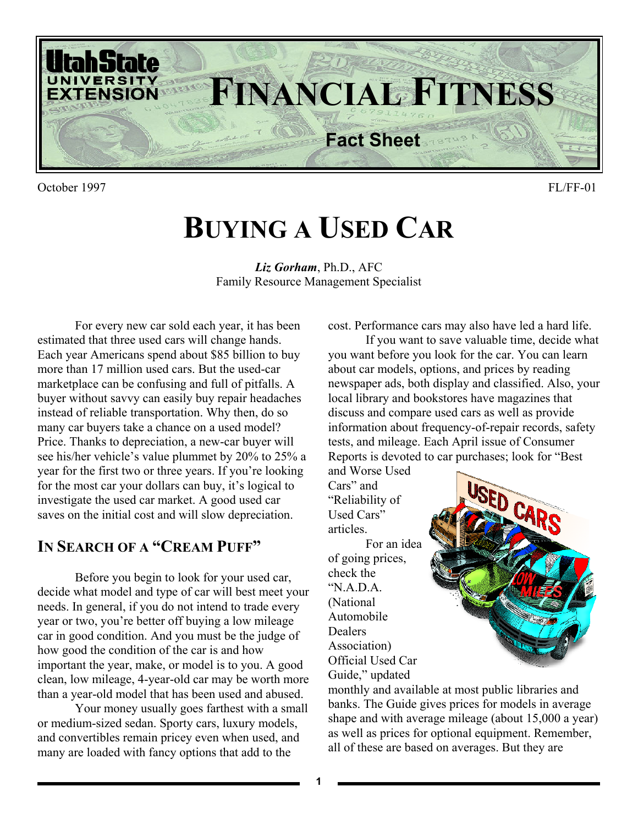

October 1997 FL/FF-01

# **BUYING A USED CAR**

*Liz Gorham*, Ph.D., AFC Family Resource Management Specialist

For every new car sold each year, it has been estimated that three used cars will change hands. Each year Americans spend about \$85 billion to buy more than 17 million used cars. But the used-car marketplace can be confusing and full of pitfalls. A buyer without savvy can easily buy repair headaches instead of reliable transportation. Why then, do so many car buyers take a chance on a used model? Price. Thanks to depreciation, a new-car buyer will see his/her vehicle's value plummet by 20% to 25% a year for the first two or three years. If you're looking for the most car your dollars can buy, it's logical to investigate the used car market. A good used car saves on the initial cost and will slow depreciation.

#### **IN SEARCH OF A "CREAM PUFF"**

Before you begin to look for your used car, decide what model and type of car will best meet your needs. In general, if you do not intend to trade every year or two, you're better off buying a low mileage car in good condition. And you must be the judge of how good the condition of the car is and how important the year, make, or model is to you. A good clean, low mileage, 4-year-old car may be worth more than a year-old model that has been used and abused.

Your money usually goes farthest with a small or medium-sized sedan. Sporty cars, luxury models, and convertibles remain pricey even when used, and many are loaded with fancy options that add to the

cost. Performance cars may also have led a hard life.

If you want to save valuable time, decide what you want before you look for the car. You can learn about car models, options, and prices by reading newspaper ads, both display and classified. Also, your local library and bookstores have magazines that discuss and compare used cars as well as provide information about frequency-of-repair records, safety tests, and mileage. Each April issue of Consumer Reports is devoted to car purchases; look for "Best and Worse Used

Cars" and "Reliability of Used Cars" articles. For an idea of going prices, check the "N.A.D.A. (National Automobile Dealers Association) Official Used Car Guide," updated



monthly and available at most public libraries and banks. The Guide gives prices for models in average shape and with average mileage (about 15,000 a year) as well as prices for optional equipment. Remember, all of these are based on averages. But they are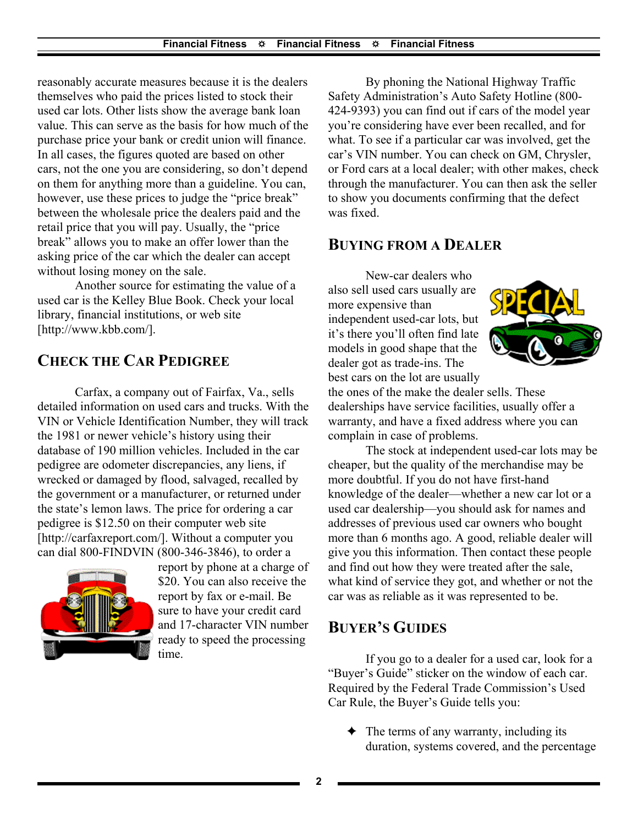reasonably accurate measures because it is the dealers themselves who paid the prices listed to stock their used car lots. Other lists show the average bank loan value. This can serve as the basis for how much of the purchase price your bank or credit union will finance. In all cases, the figures quoted are based on other cars, not the one you are considering, so don't depend on them for anything more than a guideline. You can, however, use these prices to judge the "price break" between the wholesale price the dealers paid and the retail price that you will pay. Usually, the "price break" allows you to make an offer lower than the asking price of the car which the dealer can accept without losing money on the sale.

Another source for estimating the value of a used car is the Kelley Blue Book. Check your local library, financial institutions, or web site [http://www.kbb.com/].

# **CHECK THE CAR PEDIGREE**

Carfax, a company out of Fairfax, Va., sells detailed information on used cars and trucks. With the VIN or Vehicle Identification Number, they will track the 1981 or newer vehicle's history using their database of 190 million vehicles. Included in the car pedigree are odometer discrepancies, any liens, if wrecked or damaged by flood, salvaged, recalled by the government or a manufacturer, or returned under the state's lemon laws. The price for ordering a car pedigree is \$12.50 on their computer web site [http://carfaxreport.com/]. Without a computer you can dial 800-FINDVIN (800-346-3846), to order a



report by phone at a charge of \$20. You can also receive the report by fax or e-mail. Be sure to have your credit card and 17-character VIN number ready to speed the processing time.

By phoning the National Highway Traffic Safety Administration's Auto Safety Hotline (800- 424-9393) you can find out if cars of the model year you're considering have ever been recalled, and for what. To see if a particular car was involved, get the car's VIN number. You can check on GM, Chrysler, or Ford cars at a local dealer; with other makes, check through the manufacturer. You can then ask the seller to show you documents confirming that the defect was fixed.

### **BUYING FROM A DEALER**

New-car dealers who also sell used cars usually are more expensive than independent used-car lots, but it's there you'll often find late models in good shape that the dealer got as trade-ins. The best cars on the lot are usually



the ones of the make the dealer sells. These dealerships have service facilities, usually offer a warranty, and have a fixed address where you can complain in case of problems.

The stock at independent used-car lots may be cheaper, but the quality of the merchandise may be more doubtful. If you do not have first-hand knowledge of the dealer—whether a new car lot or a used car dealership—you should ask for names and addresses of previous used car owners who bought more than 6 months ago. A good, reliable dealer will give you this information. Then contact these people and find out how they were treated after the sale, what kind of service they got, and whether or not the car was as reliable as it was represented to be.

# **BUYER'S GUIDES**

If you go to a dealer for a used car, look for a "Buyer's Guide" sticker on the window of each car. Required by the Federal Trade Commission's Used Car Rule, the Buyer's Guide tells you:

 $\triangleleft$  The terms of any warranty, including its duration, systems covered, and the percentage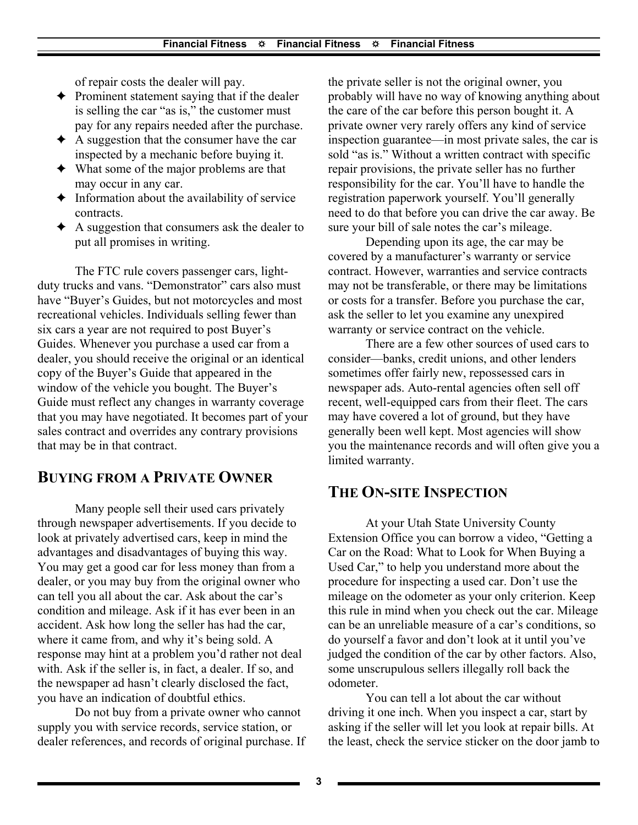of repair costs the dealer will pay.

- $\triangle$  Prominent statement saying that if the dealer is selling the car "as is," the customer must pay for any repairs needed after the purchase.
- $\triangle$  A suggestion that the consumer have the car inspected by a mechanic before buying it.
- $\triangleleft$  What some of the major problems are that may occur in any car.
- $\triangleleft$  Information about the availability of service contracts.
- $\triangle$  A suggestion that consumers ask the dealer to put all promises in writing.

The FTC rule covers passenger cars, lightduty trucks and vans. "Demonstrator" cars also must have "Buyer's Guides, but not motorcycles and most recreational vehicles. Individuals selling fewer than six cars a year are not required to post Buyer's Guides. Whenever you purchase a used car from a dealer, you should receive the original or an identical copy of the Buyer's Guide that appeared in the window of the vehicle you bought. The Buyer's Guide must reflect any changes in warranty coverage that you may have negotiated. It becomes part of your sales contract and overrides any contrary provisions that may be in that contract.

# **BUYING FROM A PRIVATE OWNER**

Many people sell their used cars privately through newspaper advertisements. If you decide to look at privately advertised cars, keep in mind the advantages and disadvantages of buying this way. You may get a good car for less money than from a dealer, or you may buy from the original owner who can tell you all about the car. Ask about the car's condition and mileage. Ask if it has ever been in an accident. Ask how long the seller has had the car, where it came from, and why it's being sold. A response may hint at a problem you'd rather not deal with. Ask if the seller is, in fact, a dealer. If so, and the newspaper ad hasn't clearly disclosed the fact, you have an indication of doubtful ethics.

Do not buy from a private owner who cannot supply you with service records, service station, or dealer references, and records of original purchase. If the private seller is not the original owner, you probably will have no way of knowing anything about the care of the car before this person bought it. A private owner very rarely offers any kind of service inspection guarantee—in most private sales, the car is sold "as is." Without a written contract with specific repair provisions, the private seller has no further responsibility for the car. You'll have to handle the registration paperwork yourself. You'll generally need to do that before you can drive the car away. Be sure your bill of sale notes the car's mileage.

Depending upon its age, the car may be covered by a manufacturer's warranty or service contract. However, warranties and service contracts may not be transferable, or there may be limitations or costs for a transfer. Before you purchase the car, ask the seller to let you examine any unexpired warranty or service contract on the vehicle.

There are a few other sources of used cars to consider—banks, credit unions, and other lenders sometimes offer fairly new, repossessed cars in newspaper ads. Auto-rental agencies often sell off recent, well-equipped cars from their fleet. The cars may have covered a lot of ground, but they have generally been well kept. Most agencies will show you the maintenance records and will often give you a limited warranty.

#### **THE ON-SITE INSPECTION**

At your Utah State University County Extension Office you can borrow a video, "Getting a Car on the Road: What to Look for When Buying a Used Car," to help you understand more about the procedure for inspecting a used car. Don't use the mileage on the odometer as your only criterion. Keep this rule in mind when you check out the car. Mileage can be an unreliable measure of a car's conditions, so do yourself a favor and don't look at it until you've judged the condition of the car by other factors. Also, some unscrupulous sellers illegally roll back the odometer.

You can tell a lot about the car without driving it one inch. When you inspect a car, start by asking if the seller will let you look at repair bills. At the least, check the service sticker on the door jamb to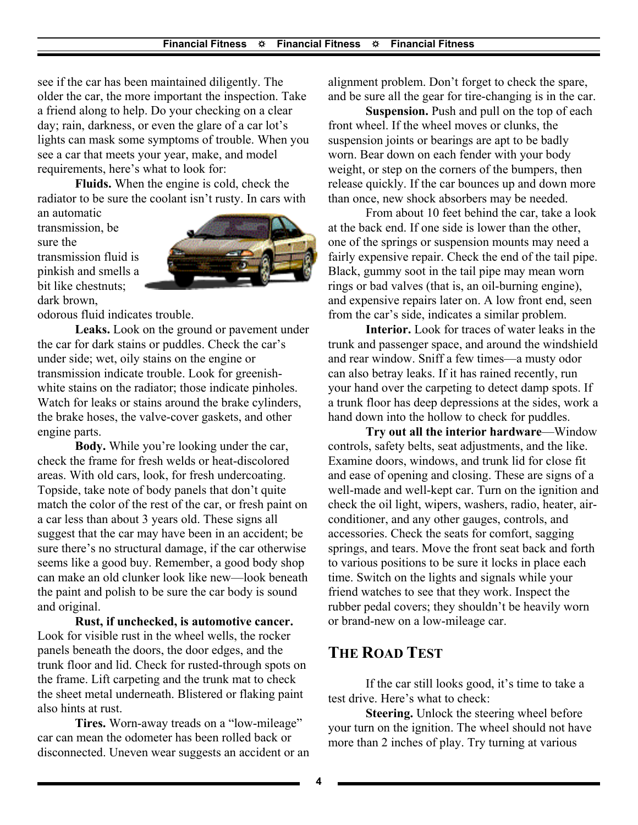see if the car has been maintained diligently. The older the car, the more important the inspection. Take a friend along to help. Do your checking on a clear day; rain, darkness, or even the glare of a car lot's lights can mask some symptoms of trouble. When you see a car that meets your year, make, and model requirements, here's what to look for:

**Fluids.** When the engine is cold, check the radiator to be sure the coolant isn't rusty. In cars with

an automatic transmission, be sure the transmission fluid is pinkish and smells a bit like chestnuts; dark brown,



odorous fluid indicates trouble.

**Leaks.** Look on the ground or pavement under the car for dark stains or puddles. Check the car's under side; wet, oily stains on the engine or transmission indicate trouble. Look for greenishwhite stains on the radiator; those indicate pinholes. Watch for leaks or stains around the brake cylinders, the brake hoses, the valve-cover gaskets, and other engine parts.

**Body.** While you're looking under the car, check the frame for fresh welds or heat-discolored areas. With old cars, look, for fresh undercoating. Topside, take note of body panels that don't quite match the color of the rest of the car, or fresh paint on a car less than about 3 years old. These signs all suggest that the car may have been in an accident; be sure there's no structural damage, if the car otherwise seems like a good buy. Remember, a good body shop can make an old clunker look like new—look beneath the paint and polish to be sure the car body is sound and original.

**Rust, if unchecked, is automotive cancer.** Look for visible rust in the wheel wells, the rocker panels beneath the doors, the door edges, and the trunk floor and lid. Check for rusted-through spots on the frame. Lift carpeting and the trunk mat to check the sheet metal underneath. Blistered or flaking paint also hints at rust.

**Tires.** Worn-away treads on a "low-mileage" car can mean the odometer has been rolled back or disconnected. Uneven wear suggests an accident or an alignment problem. Don't forget to check the spare, and be sure all the gear for tire-changing is in the car.

**Suspension.** Push and pull on the top of each front wheel. If the wheel moves or clunks, the suspension joints or bearings are apt to be badly worn. Bear down on each fender with your body weight, or step on the corners of the bumpers, then release quickly. If the car bounces up and down more than once, new shock absorbers may be needed.

From about 10 feet behind the car, take a look at the back end. If one side is lower than the other, one of the springs or suspension mounts may need a fairly expensive repair. Check the end of the tail pipe. Black, gummy soot in the tail pipe may mean worn rings or bad valves (that is, an oil-burning engine), and expensive repairs later on. A low front end, seen from the car's side, indicates a similar problem.

**Interior.** Look for traces of water leaks in the trunk and passenger space, and around the windshield and rear window. Sniff a few times—a musty odor can also betray leaks. If it has rained recently, run your hand over the carpeting to detect damp spots. If a trunk floor has deep depressions at the sides, work a hand down into the hollow to check for puddles.

**Try out all the interior hardware**—Window controls, safety belts, seat adjustments, and the like. Examine doors, windows, and trunk lid for close fit and ease of opening and closing. These are signs of a well-made and well-kept car. Turn on the ignition and check the oil light, wipers, washers, radio, heater, airconditioner, and any other gauges, controls, and accessories. Check the seats for comfort, sagging springs, and tears. Move the front seat back and forth to various positions to be sure it locks in place each time. Switch on the lights and signals while your friend watches to see that they work. Inspect the rubber pedal covers; they shouldn't be heavily worn or brand-new on a low-mileage car.

#### **THE ROAD TEST**

If the car still looks good, it's time to take a test drive. Here's what to check:

**Steering.** Unlock the steering wheel before your turn on the ignition. The wheel should not have more than 2 inches of play. Try turning at various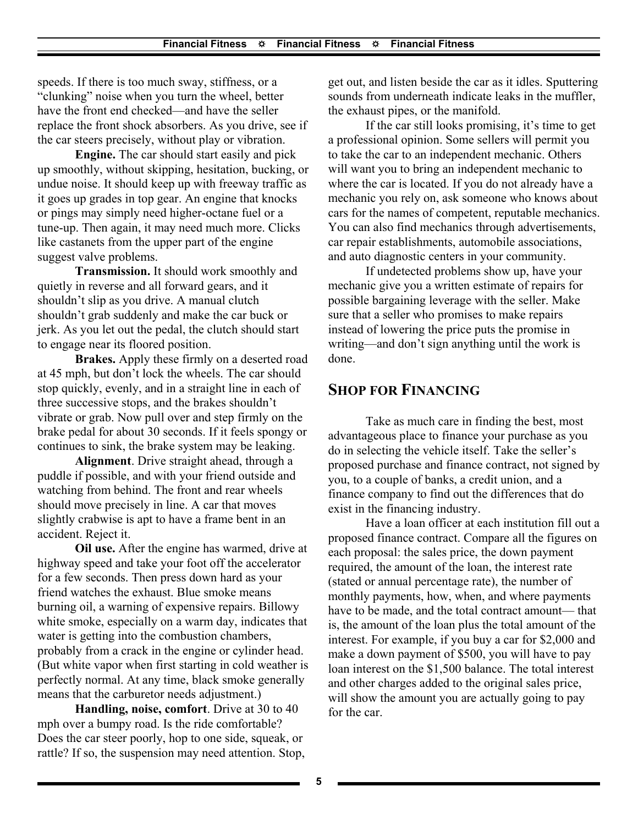speeds. If there is too much sway, stiffness, or a "clunking" noise when you turn the wheel, better have the front end checked—and have the seller replace the front shock absorbers. As you drive, see if the car steers precisely, without play or vibration.

**Engine.** The car should start easily and pick up smoothly, without skipping, hesitation, bucking, or undue noise. It should keep up with freeway traffic as it goes up grades in top gear. An engine that knocks or pings may simply need higher-octane fuel or a tune-up. Then again, it may need much more. Clicks like castanets from the upper part of the engine suggest valve problems.

**Transmission.** It should work smoothly and quietly in reverse and all forward gears, and it shouldn't slip as you drive. A manual clutch shouldn't grab suddenly and make the car buck or jerk. As you let out the pedal, the clutch should start to engage near its floored position.

**Brakes.** Apply these firmly on a deserted road at 45 mph, but don't lock the wheels. The car should stop quickly, evenly, and in a straight line in each of three successive stops, and the brakes shouldn't vibrate or grab. Now pull over and step firmly on the brake pedal for about 30 seconds. If it feels spongy or continues to sink, the brake system may be leaking.

**Alignment**. Drive straight ahead, through a puddle if possible, and with your friend outside and watching from behind. The front and rear wheels should move precisely in line. A car that moves slightly crabwise is apt to have a frame bent in an accident. Reject it.

**Oil use.** After the engine has warmed, drive at highway speed and take your foot off the accelerator for a few seconds. Then press down hard as your friend watches the exhaust. Blue smoke means burning oil, a warning of expensive repairs. Billowy white smoke, especially on a warm day, indicates that water is getting into the combustion chambers, probably from a crack in the engine or cylinder head. (But white vapor when first starting in cold weather is perfectly normal. At any time, black smoke generally means that the carburetor needs adjustment.)

**Handling, noise, comfort**. Drive at 30 to 40 mph over a bumpy road. Is the ride comfortable? Does the car steer poorly, hop to one side, squeak, or rattle? If so, the suspension may need attention. Stop, get out, and listen beside the car as it idles. Sputtering sounds from underneath indicate leaks in the muffler, the exhaust pipes, or the manifold.

If the car still looks promising, it's time to get a professional opinion. Some sellers will permit you to take the car to an independent mechanic. Others will want you to bring an independent mechanic to where the car is located. If you do not already have a mechanic you rely on, ask someone who knows about cars for the names of competent, reputable mechanics. You can also find mechanics through advertisements, car repair establishments, automobile associations, and auto diagnostic centers in your community.

If undetected problems show up, have your mechanic give you a written estimate of repairs for possible bargaining leverage with the seller. Make sure that a seller who promises to make repairs instead of lowering the price puts the promise in writing—and don't sign anything until the work is done.

#### **SHOP FOR FINANCING**

Take as much care in finding the best, most advantageous place to finance your purchase as you do in selecting the vehicle itself. Take the seller's proposed purchase and finance contract, not signed by you, to a couple of banks, a credit union, and a finance company to find out the differences that do exist in the financing industry.

Have a loan officer at each institution fill out a proposed finance contract. Compare all the figures on each proposal: the sales price, the down payment required, the amount of the loan, the interest rate (stated or annual percentage rate), the number of monthly payments, how, when, and where payments have to be made, and the total contract amount— that is, the amount of the loan plus the total amount of the interest. For example, if you buy a car for \$2,000 and make a down payment of \$500, you will have to pay loan interest on the \$1,500 balance. The total interest and other charges added to the original sales price, will show the amount you are actually going to pay for the car.